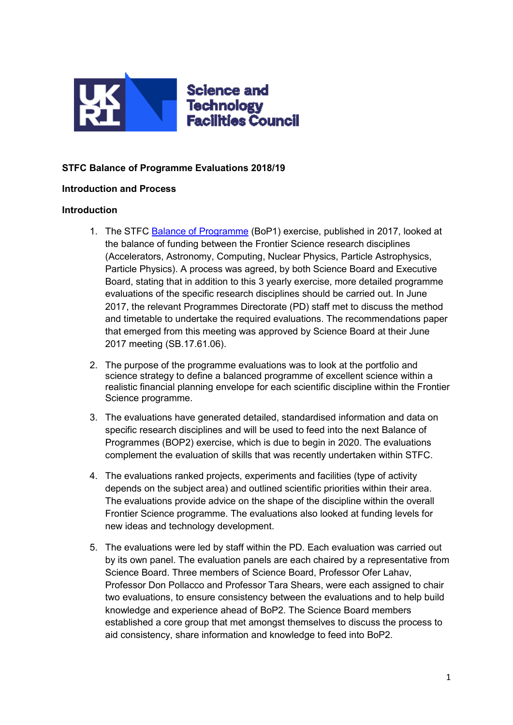

## **STFC Balance of Programme Evaluations 2018/19**

## **Introduction and Process**

#### **Introduction**

- 1. The STFC [Balance of Programme](http://www.stfc.ac.uk/files/post-council-report/) (BoP1) exercise, published in 2017, looked at the balance of funding between the Frontier Science research disciplines (Accelerators, Astronomy, Computing, Nuclear Physics, Particle Astrophysics, Particle Physics). A process was agreed, by both Science Board and Executive Board, stating that in addition to this 3 yearly exercise, more detailed programme evaluations of the specific research disciplines should be carried out. In June 2017, the relevant Programmes Directorate (PD) staff met to discuss the method and timetable to undertake the required evaluations. The recommendations paper that emerged from this meeting was approved by Science Board at their June 2017 meeting (SB.17.61.06).
- 2. The purpose of the programme evaluations was to look at the portfolio and science strategy to define a balanced programme of excellent science within a realistic financial planning envelope for each scientific discipline within the Frontier Science programme.
- 3. The evaluations have generated detailed, standardised information and data on specific research disciplines and will be used to feed into the next Balance of Programmes (BOP2) exercise, which is due to begin in 2020. The evaluations complement the evaluation of skills that was recently undertaken within STFC.
- 4. The evaluations ranked projects, experiments and facilities (type of activity depends on the subject area) and outlined scientific priorities within their area. The evaluations provide advice on the shape of the discipline within the overall Frontier Science programme. The evaluations also looked at funding levels for new ideas and technology development.
- 5. The evaluations were led by staff within the PD. Each evaluation was carried out by its own panel. The evaluation panels are each chaired by a representative from Science Board. Three members of Science Board, Professor Ofer Lahav, Professor Don Pollacco and Professor Tara Shears, were each assigned to chair two evaluations, to ensure consistency between the evaluations and to help build knowledge and experience ahead of BoP2. The Science Board members established a core group that met amongst themselves to discuss the process to aid consistency, share information and knowledge to feed into BoP2.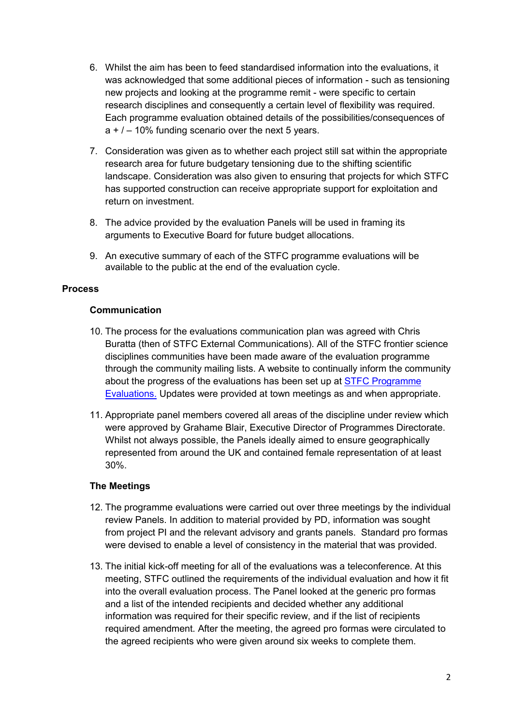- 6. Whilst the aim has been to feed standardised information into the evaluations, it was acknowledged that some additional pieces of information - such as tensioning new projects and looking at the programme remit - were specific to certain research disciplines and consequently a certain level of flexibility was required. Each programme evaluation obtained details of the possibilities/consequences of  $a + 7 - 10\%$  funding scenario over the next 5 years.
- 7. Consideration was given as to whether each project still sat within the appropriate research area for future budgetary tensioning due to the shifting scientific landscape. Consideration was also given to ensuring that projects for which STFC has supported construction can receive appropriate support for exploitation and return on investment.
- 8. The advice provided by the evaluation Panels will be used in framing its arguments to Executive Board for future budget allocations.
- 9. An executive summary of each of the STFC programme evaluations will be available to the public at the end of the evaluation cycle.

## **Process**

## **Communication**

- 10. The process for the evaluations communication plan was agreed with Chris Buratta (then of STFC External Communications). All of the STFC frontier science disciplines communities have been made aware of the evaluation programme through the community mailing lists. A website to continually inform the community about the progress of the evaluations has been set up at [STFC Programme](https://www.stfc.ac.uk/about-us/our-purpose-and-priorities/planning-and-strategy/programme-evaluation/balance-of-programme-exercise-ppan/)  [Evaluations.](https://www.stfc.ac.uk/about-us/our-purpose-and-priorities/planning-and-strategy/programme-evaluation/balance-of-programme-exercise-ppan/) Updates were provided at town meetings as and when appropriate.
- 11. Appropriate panel members covered all areas of the discipline under review which were approved by Grahame Blair, Executive Director of Programmes Directorate. Whilst not always possible, the Panels ideally aimed to ensure geographically represented from around the UK and contained female representation of at least 30%.

## **The Meetings**

- 12. The programme evaluations were carried out over three meetings by the individual review Panels. In addition to material provided by PD, information was sought from project PI and the relevant advisory and grants panels. Standard pro formas were devised to enable a level of consistency in the material that was provided.
- 13. The initial kick-off meeting for all of the evaluations was a teleconference. At this meeting, STFC outlined the requirements of the individual evaluation and how it fit into the overall evaluation process. The Panel looked at the generic pro formas and a list of the intended recipients and decided whether any additional information was required for their specific review, and if the list of recipients required amendment. After the meeting, the agreed pro formas were circulated to the agreed recipients who were given around six weeks to complete them.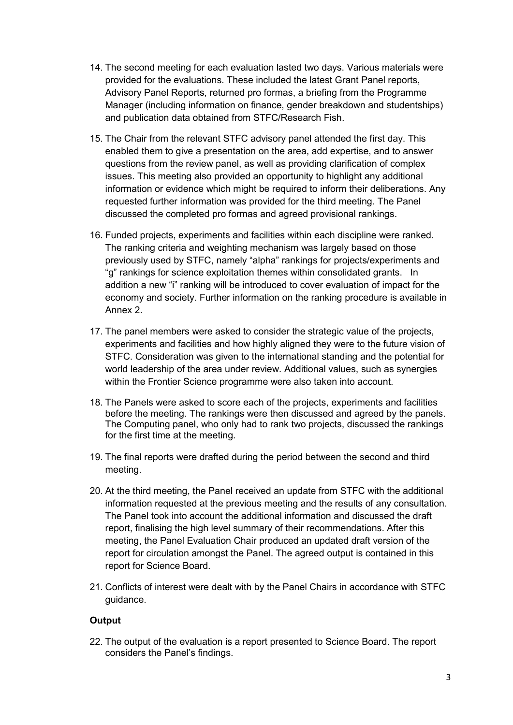- 14. The second meeting for each evaluation lasted two days. Various materials were provided for the evaluations. These included the latest Grant Panel reports, Advisory Panel Reports, returned pro formas, a briefing from the Programme Manager (including information on finance, gender breakdown and studentships) and publication data obtained from STFC/Research Fish.
- 15. The Chair from the relevant STFC advisory panel attended the first day. This enabled them to give a presentation on the area, add expertise, and to answer questions from the review panel, as well as providing clarification of complex issues. This meeting also provided an opportunity to highlight any additional information or evidence which might be required to inform their deliberations. Any requested further information was provided for the third meeting. The Panel discussed the completed pro formas and agreed provisional rankings.
- 16. Funded projects, experiments and facilities within each discipline were ranked. The ranking criteria and weighting mechanism was largely based on those previously used by STFC, namely "alpha" rankings for projects/experiments and "g" rankings for science exploitation themes within consolidated grants. In addition a new "i" ranking will be introduced to cover evaluation of impact for the economy and society. Further information on the ranking procedure is available in Annex 2.
- 17. The panel members were asked to consider the strategic value of the projects, experiments and facilities and how highly aligned they were to the future vision of STFC. Consideration was given to the international standing and the potential for world leadership of the area under review. Additional values, such as synergies within the Frontier Science programme were also taken into account.
- 18. The Panels were asked to score each of the projects, experiments and facilities before the meeting. The rankings were then discussed and agreed by the panels. The Computing panel, who only had to rank two projects, discussed the rankings for the first time at the meeting.
- 19. The final reports were drafted during the period between the second and third meeting.
- 20. At the third meeting, the Panel received an update from STFC with the additional information requested at the previous meeting and the results of any consultation. The Panel took into account the additional information and discussed the draft report, finalising the high level summary of their recommendations. After this meeting, the Panel Evaluation Chair produced an updated draft version of the report for circulation amongst the Panel. The agreed output is contained in this report for Science Board.
- 21. Conflicts of interest were dealt with by the Panel Chairs in accordance with STFC guidance.

## **Output**

22. The output of the evaluation is a report presented to Science Board. The report considers the Panel's findings.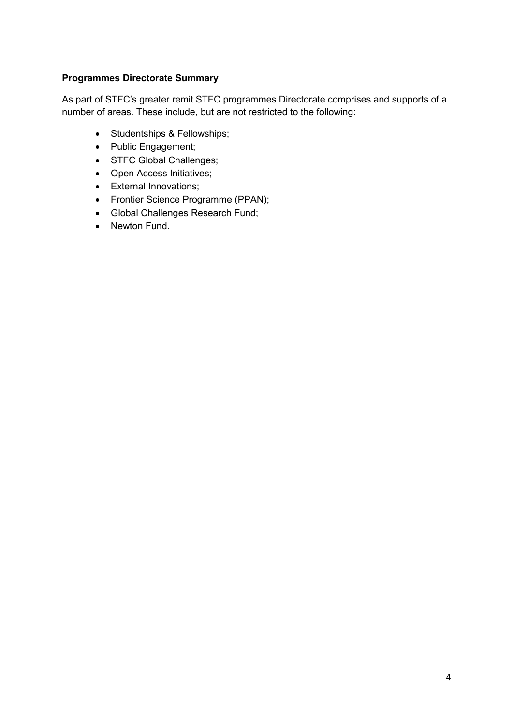# **Programmes Directorate Summary**

As part of STFC's greater remit STFC programmes Directorate comprises and supports of a number of areas. These include, but are not restricted to the following:

- Studentships & Fellowships;
- Public Engagement;
- STFC Global Challenges;
- Open Access Initiatives;
- External Innovations;
- Frontier Science Programme (PPAN);
- Global Challenges Research Fund;
- Newton Fund.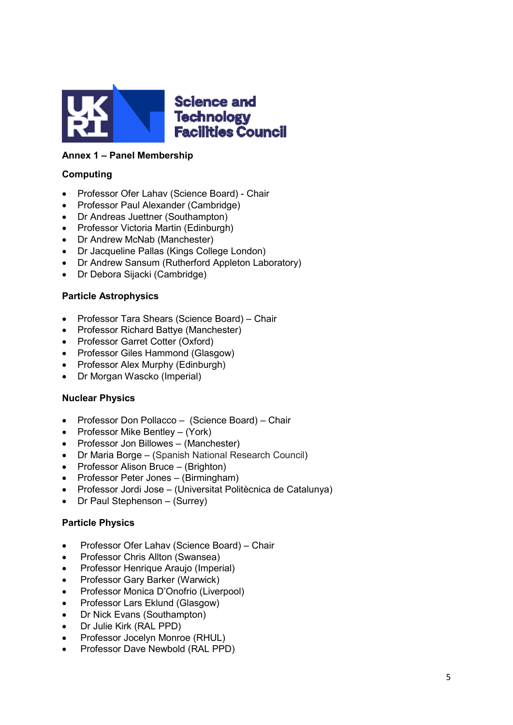

## **Annex 1 – Panel Membership**

## **Computing**

- Professor Ofer Lahav (Science Board) Chair
- Professor Paul Alexander (Cambridge)
- Dr Andreas Juettner (Southampton)
- Professor Victoria Martin (Edinburgh)
- Dr Andrew McNab (Manchester)
- Dr Jacqueline Pallas (Kings College London)
- Dr Andrew Sansum (Rutherford Appleton Laboratory)
- Dr Debora Sijacki (Cambridge)

## **Particle Astrophysics**

- Professor Tara Shears (Science Board) Chair
- Professor Richard Battye (Manchester)
- Professor Garret Cotter (Oxford)
- Professor Giles Hammond (Glasgow)
- Professor Alex Murphy (Edinburgh)
- Dr Morgan Wascko (Imperial)

## **Nuclear Physics**

- Professor Don Pollacco (Science Board) Chair
- Professor Mike Bentley (York)
- Professor Jon Billowes (Manchester)
- Dr Maria Borge (Spanish National Research Council)
- Professor Alison Bruce (Brighton)
- Professor Peter Jones (Birmingham)
- Professor Jordi Jose (Universitat Politècnica de Catalunya)
- Dr Paul Stephenson (Surrey)

## **Particle Physics**

- Professor Ofer Lahav (Science Board) Chair
- Professor Chris Allton (Swansea)
- Professor Henrique Araujo (Imperial)
- Professor Gary Barker (Warwick)
- Professor Monica D'Onofrio (Liverpool)
- Professor Lars Eklund (Glasgow)
- Dr Nick Evans (Southampton)
- Dr Julie Kirk (RAL PPD)
- Professor Jocelyn Monroe (RHUL)
- Professor Dave Newbold (RAL PPD)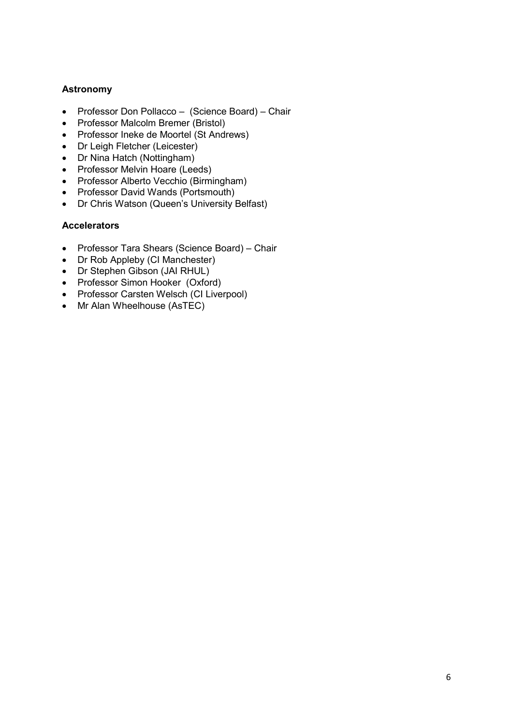## **Astronomy**

- Professor Don Pollacco (Science Board) Chair
- Professor Malcolm Bremer (Bristol)
- Professor Ineke de Moortel (St Andrews)
- Dr Leigh Fletcher (Leicester)
- Dr Nina Hatch (Nottingham)
- Professor Melvin Hoare (Leeds)
- Professor Alberto Vecchio (Birmingham)
- Professor David Wands (Portsmouth)
- Dr Chris Watson (Queen's University Belfast)

## **Accelerators**

- Professor Tara Shears (Science Board) Chair
- Dr Rob Appleby (CI Manchester)
- Dr Stephen Gibson (JAI RHUL)
- Professor Simon Hooker (Oxford)
- Professor Carsten Welsch (CI Liverpool)
- Mr Alan Wheelhouse (AsTEC)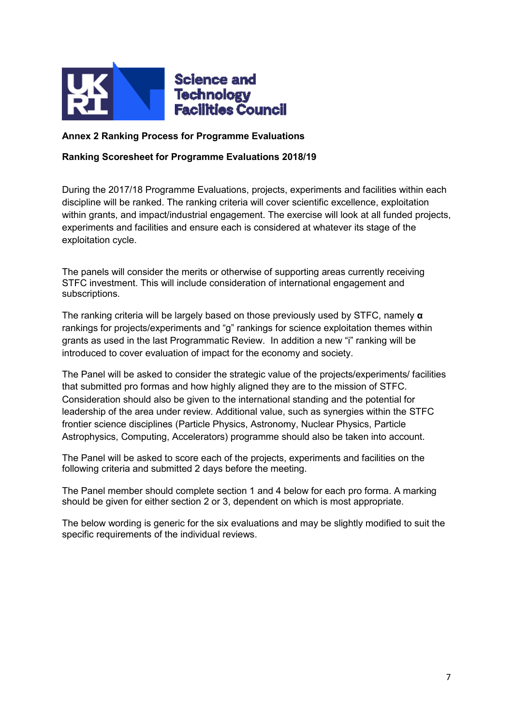

## **Annex 2 Ranking Process for Programme Evaluations**

## **Ranking Scoresheet for Programme Evaluations 2018/19**

During the 2017/18 Programme Evaluations, projects, experiments and facilities within each discipline will be ranked. The ranking criteria will cover scientific excellence, exploitation within grants, and impact/industrial engagement. The exercise will look at all funded projects, experiments and facilities and ensure each is considered at whatever its stage of the exploitation cycle.

The panels will consider the merits or otherwise of supporting areas currently receiving STFC investment. This will include consideration of international engagement and subscriptions.

The ranking criteria will be largely based on those previously used by STFC, namely **α** rankings for projects/experiments and "g" rankings for science exploitation themes within grants as used in the last Programmatic Review. In addition a new "i" ranking will be introduced to cover evaluation of impact for the economy and society.

The Panel will be asked to consider the strategic value of the projects/experiments/ facilities that submitted pro formas and how highly aligned they are to the mission of STFC. Consideration should also be given to the international standing and the potential for leadership of the area under review. Additional value, such as synergies within the STFC frontier science disciplines (Particle Physics, Astronomy, Nuclear Physics, Particle Astrophysics, Computing, Accelerators) programme should also be taken into account.

The Panel will be asked to score each of the projects, experiments and facilities on the following criteria and submitted 2 days before the meeting.

The Panel member should complete section 1 and 4 below for each pro forma. A marking should be given for either section 2 or 3, dependent on which is most appropriate.

The below wording is generic for the six evaluations and may be slightly modified to suit the specific requirements of the individual reviews.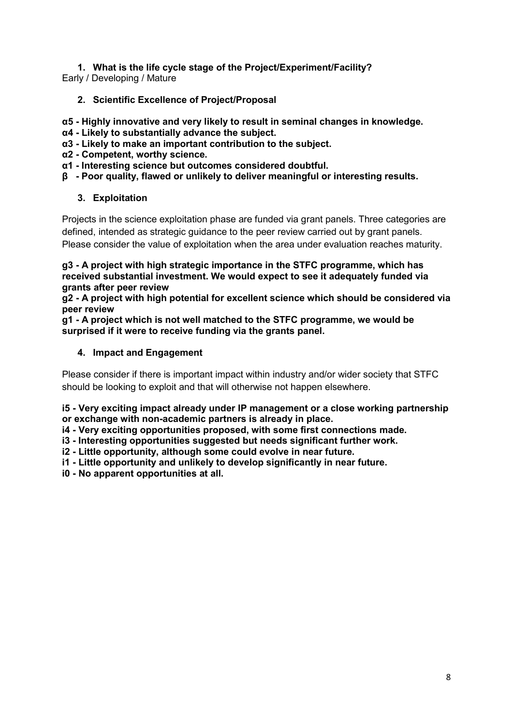# **1. What is the life cycle stage of the Project/Experiment/Facility?**

Early / Developing / Mature

- **2. Scientific Excellence of Project/Proposal**
- **α5 - Highly innovative and very likely to result in seminal changes in knowledge.**
- **α4 - Likely to substantially advance the subject.**
- **α3 - Likely to make an important contribution to the subject.**
- **α2 - Competent, worthy science.**
- **α1 - Interesting science but outcomes considered doubtful.**
- **β - Poor quality, flawed or unlikely to deliver meaningful or interesting results.**

## **3. Exploitation**

Projects in the science exploitation phase are funded via grant panels. Three categories are defined, intended as strategic guidance to the peer review carried out by grant panels. Please consider the value of exploitation when the area under evaluation reaches maturity.

**g3 - A project with high strategic importance in the STFC programme, which has received substantial investment. We would expect to see it adequately funded via grants after peer review**

**g2 - A project with high potential for excellent science which should be considered via peer review**

**g1 - A project which is not well matched to the STFC programme, we would be surprised if it were to receive funding via the grants panel.**

## **4. Impact and Engagement**

Please consider if there is important impact within industry and/or wider society that STFC should be looking to exploit and that will otherwise not happen elsewhere.

**i5 - Very exciting impact already under IP management or a close working partnership or exchange with non-academic partners is already in place.**

**i4 - Very exciting opportunities proposed, with some first connections made.**

**i3 - Interesting opportunities suggested but needs significant further work.**

**i2 - Little opportunity, although some could evolve in near future.**

- **i1 - Little opportunity and unlikely to develop significantly in near future.**
- **i0 - No apparent opportunities at all.**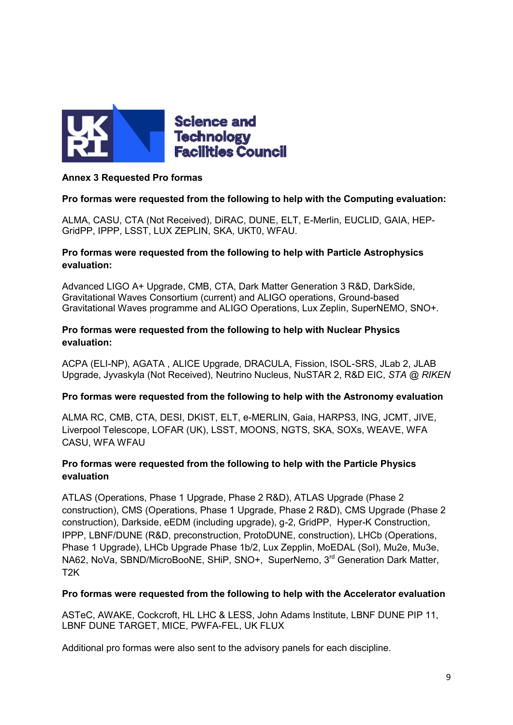

## **Annex 3 Requested Pro formas**

## **Pro formas were requested from the following to help with the Computing evaluation:**

ALMA, CASU, CTA (Not Received), DiRAC, DUNE, ELT, E-Merlin, EUCLID, GAIA, HEP-GridPP, IPPP, LSST, LUX ZEPLIN, SKA, UKT0, WFAU.

## **Pro formas were requested from the following to help with Particle Astrophysics evaluation:**

Advanced LIGO A+ Upgrade, CMB, CTA, Dark Matter Generation 3 R&D, DarkSide, Gravitational Waves Consortium (current) and ALIGO operations, Ground-based Gravitational Waves programme and ALIGO Operations, Lux Zeplin, SuperNEMO, SNO+.

## **Pro formas were requested from the following to help with Nuclear Physics evaluation:**

ACPA (ELI-NP), AGATA , ALICE Upgrade, DRACULA, Fission, ISOL-SRS, JLab 2, JLAB Upgrade, Jyvaskyla (Not Received), Neutrino Nucleus, NuSTAR 2, R&D EIC, *STA @ RIKEN*

## **Pro formas were requested from the following to help with the Astronomy evaluation**

ALMA RC, CMB, CTA, DESI, DKIST, ELT, e-MERLIN, Gaia, HARPS3, ING, JCMT, JIVE, Liverpool Telescope, LOFAR (UK), LSST, MOONS, NGTS, SKA, SOXs, WEAVE, WFA CASU, WFA WFAU

## **Pro formas were requested from the following to help with the Particle Physics evaluation**

ATLAS (Operations, Phase 1 Upgrade, Phase 2 R&D), ATLAS Upgrade (Phase 2 construction), CMS (Operations, Phase 1 Upgrade, Phase 2 R&D), CMS Upgrade (Phase 2 construction), Darkside, eEDM (including upgrade), g-2, GridPP, Hyper-K Construction, IPPP, LBNF/DUNE (R&D, preconstruction, ProtoDUNE, construction), LHCb (Operations, Phase 1 Upgrade), LHCb Upgrade Phase 1b/2, Lux Zepplin, MoEDAL (SoI), Mu2e, Mu3e, NA62, NoVa, SBND/MicroBooNE, SHiP, SNO+, SuperNemo, 3<sup>rd</sup> Generation Dark Matter, T2K

## **Pro formas were requested from the following to help with the Accelerator evaluation**

ASTeC, AWAKE, Cockcroft, HL LHC & LESS, John Adams Institute, LBNF DUNE PIP 11, LBNF DUNE TARGET, MICE, PWFA-FEL, UK FLUX

Additional pro formas were also sent to the advisory panels for each discipline.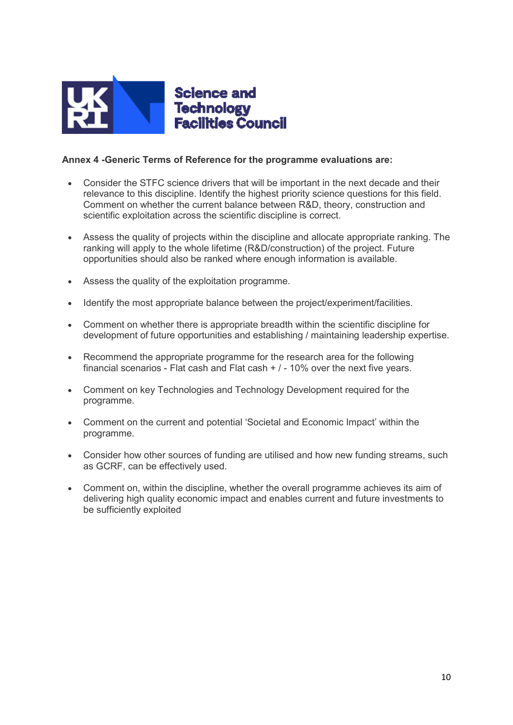

## **Annex 4 -Generic Terms of Reference for the programme evaluations are:**

- Consider the STFC science drivers that will be important in the next decade and their relevance to this discipline. Identify the highest priority science questions for this field. Comment on whether the current balance between R&D, theory, construction and scientific exploitation across the scientific discipline is correct.
- Assess the quality of projects within the discipline and allocate appropriate ranking. The ranking will apply to the whole lifetime (R&D/construction) of the project. Future opportunities should also be ranked where enough information is available.
- Assess the quality of the exploitation programme.
- Identify the most appropriate balance between the project/experiment/facilities.
- Comment on whether there is appropriate breadth within the scientific discipline for development of future opportunities and establishing / maintaining leadership expertise.
- Recommend the appropriate programme for the research area for the following financial scenarios - Flat cash and Flat cash  $+$  / - 10% over the next five years.
- Comment on key Technologies and Technology Development required for the programme.
- Comment on the current and potential 'Societal and Economic Impact' within the programme.
- Consider how other sources of funding are utilised and how new funding streams, such as GCRF, can be effectively used.
- Comment on, within the discipline, whether the overall programme achieves its aim of delivering high quality economic impact and enables current and future investments to be sufficiently exploited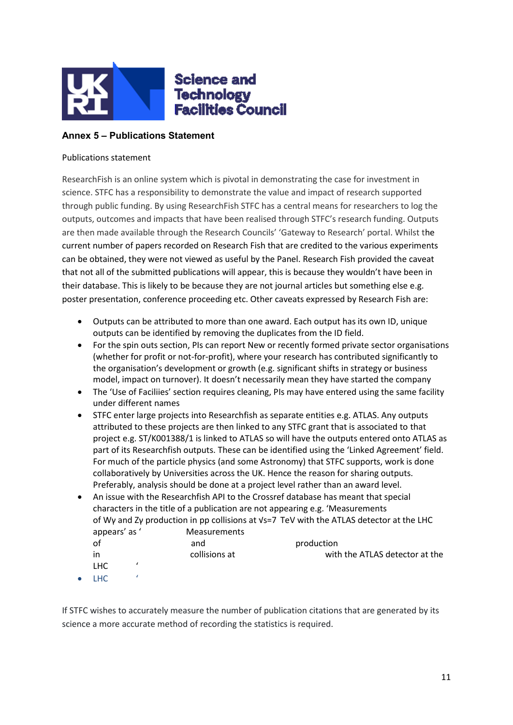

## **Annex 5 – Publications Statement**

#### Publications statement

ResearchFish is an online system which is pivotal in demonstrating the case for investment in science. STFC has a responsibility to demonstrate the value and impact of research supported through public funding. By using ResearchFish STFC has a central means for researchers to log the outputs, outcomes and impacts that have been realised through STFC's research funding. Outputs are then made available through the Research Councils' 'Gateway to Research' portal. Whilst the current number of papers recorded on Research Fish that are credited to the various experiments can be obtained, they were not viewed as useful by the Panel. Research Fish provided the caveat that not all of the submitted publications will appear, this is because they wouldn't have been in their database. This is likely to be because they are not journal articles but something else e.g. poster presentation, conference proceeding etc. Other caveats expressed by Research Fish are:

- Outputs can be attributed to more than one award. Each output has its own ID, unique outputs can be identified by removing the duplicates from the ID field.
- For the spin outs section, PIs can report New or recently formed private sector organisations (whether for profit or not-for-profit), where your research has contributed significantly to the organisation's development or growth (e.g. significant shifts in strategy or business model, impact on turnover). It doesn't necessarily mean they have started the company
- The 'Use of Faciliies' section requires cleaning, PIs may have entered using the same facility under different names
- STFC enter large projects into Researchfish as separate entities e.g. ATLAS. Any outputs attributed to these projects are then linked to any STFC grant that is associated to that project e.g. ST/K001388/1 is linked to ATLAS so will have the outputs entered onto ATLAS as part of its Researchfish outputs. These can be identified using the 'Linked Agreement' field. For much of the particle physics (and some Astronomy) that STFC supports, work is done collaboratively by Universities across the UK. Hence the reason for sharing outputs. Preferably, analysis should be done at a project level rather than an award level.
- An issue with the Researchfish API to the Crossref database has meant that special characters in the title of a publication are not appearing e.g. 'Measurements of Wγ and Zγ production in pp collisions at √s=7  TeV with the ATLAS detector at the LHC appears' as ' Measurements

|            | and           | production                     |
|------------|---------------|--------------------------------|
| in         | collisions at | with the ATLAS detector at the |
| <b>LHC</b> |               |                                |
|            |               |                                |

LHC '

If STFC wishes to accurately measure the number of publication citations that are generated by its science a more accurate method of recording the statistics is required.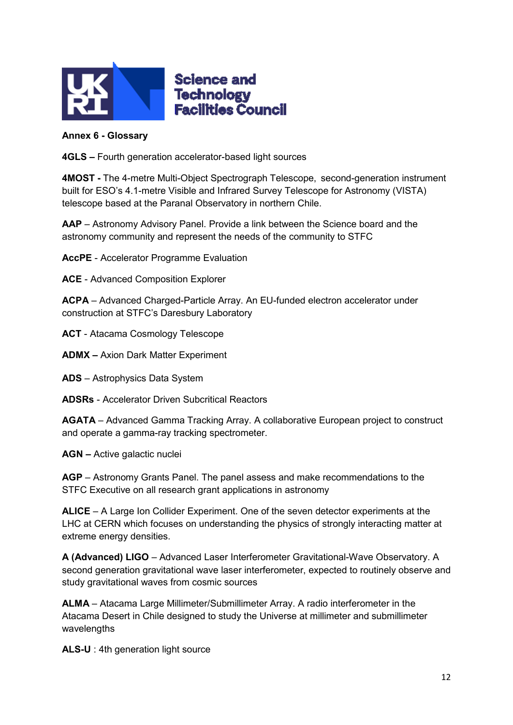

# **Science and Technology Facilities Council**

## **Annex 6 - Glossary**

**4GLS –** Fourth generation accelerator-based light sources

**4MOST -** The 4-metre Multi-Object Spectrograph Telescope, second-generation instrument built for ESO's 4.1-metre Visible and Infrared Survey Telescope for Astronomy (VISTA) telescope based at the Paranal Observatory in northern Chile.

**AAP** – Astronomy Advisory Panel. Provide a link between the Science board and the astronomy community and represent the needs of the community to STFC

**AccPE** - Accelerator Programme Evaluation

**ACE** - Advanced Composition Explorer

**ACPA** – Advanced Charged-Particle Array. An EU-funded electron accelerator under construction at STFC's Daresbury Laboratory

**ACT** - Atacama Cosmology Telescope

**ADMX –** Axion Dark Matter Experiment

**ADS** – Astrophysics Data System

**ADSRs** - Accelerator Driven Subcritical Reactors

**AGATA** – Advanced Gamma Tracking Array. A collaborative European project to construct and operate a gamma-ray tracking spectrometer.

**AGN –** Active galactic nuclei

**AGP** – Astronomy Grants Panel. The panel assess and make recommendations to the STFC Executive on all research grant applications in astronomy

**ALICE** – A Large Ion Collider Experiment. One of the seven detector experiments at the LHC at CERN which focuses on understanding the physics of strongly interacting matter at extreme energy densities.

**A (Advanced) LIGO** – Advanced Laser Interferometer Gravitational-Wave Observatory. A second generation gravitational wave laser interferometer, expected to routinely observe and study gravitational waves from cosmic sources

**ALMA** – Atacama Large Millimeter/Submillimeter Array. A radio interferometer in the Atacama Desert in Chile designed to study the Universe at millimeter and submillimeter wavelengths

**ALS-U** : 4th generation light source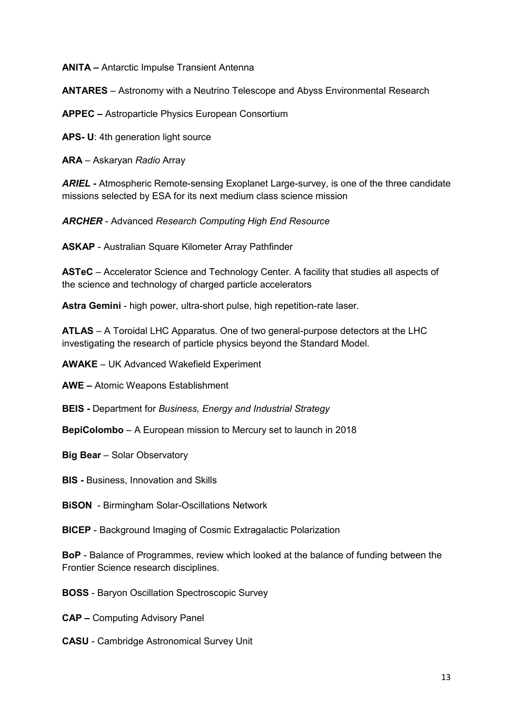**ANITA –** Antarctic Impulse Transient Antenna

**ANTARES** – Astronomy with a Neutrino Telescope and Abyss Environmental Research

**APPEC –** Astroparticle Physics European Consortium

**APS- U**: 4th generation light source

**ARA** – Askaryan *Radio* Array

*ARIEL -* Atmospheric Remote-sensing Exoplanet Large-survey, is one of the three candidate missions selected by ESA for its next medium class science mission

*ARCHER* - Advanced *Research Computing High End Resource*

**ASKAP** - Australian Square Kilometer Array Pathfinder

**ASTeC** – Accelerator Science and Technology Center. A facility that studies all aspects of the science and technology of charged particle accelerators

**Astra Gemini** - high power, ultra-short pulse, high repetition-rate laser.

**ATLAS** – A Toroidal LHC Apparatus. One of two general-purpose detectors at the LHC investigating the research of particle physics beyond the Standard Model.

**AWAKE** – UK Advanced Wakefield Experiment

**AWE –** Atomic Weapons Establishment

**BEIS -** Department for *Business, Energy and Industrial Strategy*

**BepiColombo** – A European mission to Mercury set to launch in 2018

**Big Bear** – Solar Observatory

**BIS -** Business, Innovation and Skills

**BiSON** - Birmingham Solar-Oscillations Network

**BICEP** - Background Imaging of Cosmic Extragalactic Polarization

**BoP** - Balance of Programmes, review which looked at the balance of funding between the Frontier Science research disciplines.

**BOSS** - Baryon Oscillation Spectroscopic Survey

**CAP –** Computing Advisory Panel

**CASU** - Cambridge Astronomical Survey Unit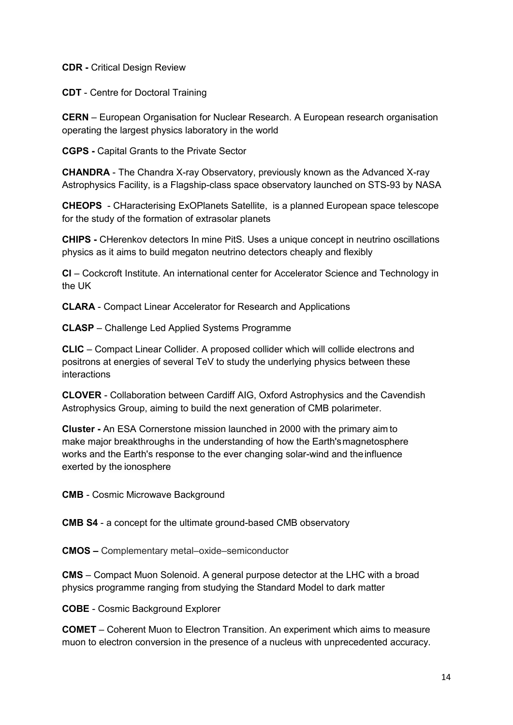**CDR -** Critical Design Review

**CDT** - Centre for Doctoral Training

**CERN** – European Organisation for Nuclear Research. A European research organisation operating the largest physics laboratory in the world

**CGPS -** Capital Grants to the Private Sector

**CHANDRA** - The Chandra X-ray Observatory, previously known as the Advanced X-ray Astrophysics Facility, is a Flagship-class space observatory launched on STS-93 by NASA

**CHEOPS** - CHaracterising ExOPlanets Satellite, is a planned European space telescope for the study of the formation of extrasolar planets

**CHIPS -** CHerenkov detectors In mine PitS. Uses a unique concept in neutrino oscillations physics as it aims to build megaton neutrino detectors cheaply and flexibly

**CI** – Cockcroft Institute. An international center for Accelerator Science and Technology in the UK

**CLARA** - Compact Linear Accelerator for Research and Applications

**CLASP** – Challenge Led Applied Systems Programme

**CLIC** – Compact Linear Collider. A proposed collider which will collide electrons and positrons at energies of several TeV to study the underlying physics between these interactions

**CLOVER** - Collaboration between Cardiff AIG, Oxford Astrophysics and the Cavendish Astrophysics Group, aiming to build the next generation of CMB polarimeter.

**Cluster -** An ESA Cornerstone mission launched in 2000 with the primary aim to make major breakthroughs in the understanding of how the Earth'smagnetosphere works and the Earth's response to the ever changing solar-wind and theinfluence exerted by the ionosphere

**CMB** - Cosmic Microwave Background

**CMB S4** - a concept for the ultimate ground-based CMB observatory

**CMOS –** Complementary metal–oxide–semiconductor

**CMS** – Compact Muon Solenoid. A general purpose detector at the LHC with a broad physics programme ranging from studying the Standard Model to dark matter

**COBE** - Cosmic Background Explorer

**COMET** – Coherent Muon to Electron Transition. An experiment which aims to measure muon to electron conversion in the presence of a nucleus with unprecedented accuracy.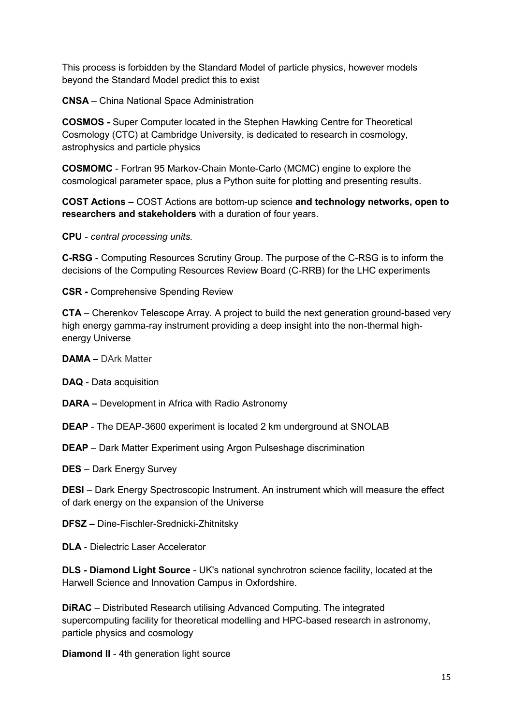This process is forbidden by the Standard Model of particle physics, however models beyond the Standard Model predict this to exist

**CNSA** – China National Space Administration

**COSMOS -** Super Computer located in the Stephen Hawking Centre for Theoretical Cosmology (CTC) at Cambridge University, is dedicated to research in cosmology, astrophysics and particle physics

**COSMOMC** - Fortran 95 Markov-Chain Monte-Carlo (MCMC) engine to explore the cosmological parameter space, plus a Python suite for plotting and presenting results.

**COST Actions –** COST Actions are bottom-up science **and technology networks, open to researchers and stakeholders** with a duration of four years.

**CPU** *- central processing units.* 

**C-RSG** - Computing Resources Scrutiny Group. The purpose of the C-RSG is to inform the decisions of the Computing Resources Review Board (C-RRB) for the LHC experiments

**CSR -** Comprehensive Spending Review

**CTA** – Cherenkov Telescope Array. A project to build the next generation ground-based very high energy gamma-ray instrument providing a deep insight into the non-thermal highenergy Universe

**DAMA –** DArk Matter

**DAQ** - Data acquisition

**DARA –** Development in Africa with Radio Astronomy

**DEAP** - The DEAP-3600 experiment is located 2 km underground at SNOLAB

**DEAP** – Dark Matter Experiment using Argon Pulseshage discrimination

**DES** – Dark Energy Survey

**DESI** – Dark Energy Spectroscopic Instrument. An instrument which will measure the effect of dark energy on the expansion of the Universe

**DFSZ –** Dine-Fischler-Srednicki-Zhitnitsky

**DLA** - Dielectric Laser Accelerator

**DLS - Diamond Light Source** - UK's national synchrotron science facility, located at the Harwell Science and Innovation Campus in Oxfordshire.

**DiRAC** – Distributed Research utilising Advanced Computing. The integrated supercomputing facility for theoretical modelling and HPC-based research in astronomy, particle physics and cosmology

**Diamond II** - 4th generation light source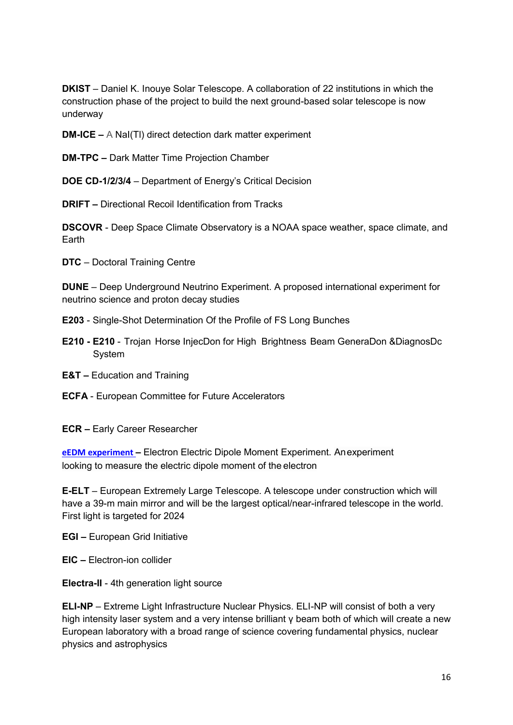**DKIST** – Daniel K. Inouye Solar Telescope. A collaboration of 22 institutions in which the construction phase of the project to build the next ground-based solar telescope is now underway

**DM-ICE –** A NaI(Tl) direct detection dark matter experiment

**DM-TPC –** Dark Matter Time Projection Chamber

**DOE CD-1/2/3/4** – Department of Energy's Critical Decision

**DRIFT –** Directional Recoil Identification from Tracks

**DSCOVR** - Deep Space Climate Observatory is a NOAA space weather, space climate, and Earth

**DTC** – Doctoral Training Centre

**DUNE** – Deep Underground Neutrino Experiment. A proposed international experiment for neutrino science and proton decay studies

- **E203** Single-Shot Determination Of the Profile of FS Long Bunches
- **E210 - E210** Trojan Horse InjecDon for High Brightness Beam GeneraDon &DiagnosDc System
- **E&T –** Education and Training
- **ECFA** European Committee for Future Accelerators
- **ECR –** Early Career Researcher

**[eEDM experiment](http://www.stfc.ac.uk/193.aspx) –** Electron Electric Dipole Moment Experiment. Anexperiment looking to measure the electric dipole moment of the electron

**E-ELT** – European Extremely Large Telescope. A telescope under construction which will have a 39-m main mirror and will be the largest optical/near-infrared telescope in the world. First light is targeted for 2024

- **EGI –** European Grid Initiative
- **EIC –** Electron-ion collider
- **Electra-II** 4th generation light source

**ELI-NP** – Extreme Light Infrastructure Nuclear Physics. ELI-NP will consist of both a very high intensity laser system and a very intense brilliant γ beam both of which will create a new European laboratory with a broad range of science covering fundamental physics, nuclear physics and astrophysics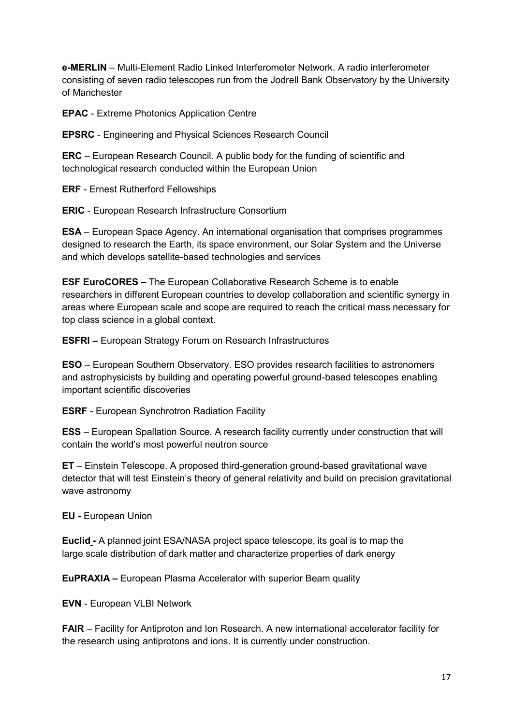**e-MERLIN** – Multi-Element Radio Linked Interferometer Network. A radio interferometer consisting of seven radio telescopes run from the Jodrell Bank Observatory by the University of Manchester

**EPAC** - Extreme Photonics Application Centre

**EPSRC** - Engineering and Physical Sciences Research Council

**ERC** – European Research Council. A public body for the funding of scientific and technological research conducted within the European Union

**ERF** - Ernest Rutherford Fellowships

**ERIC** - European Research Infrastructure Consortium

**ESA** – European Space Agency. An international organisation that comprises programmes designed to research the Earth, its space environment, our Solar System and the Universe and which develops satellite-based technologies and services

**ESF EuroCORES –** The European Collaborative Research Scheme is to enable researchers in different European countries to develop collaboration and scientific synergy in areas where European scale and scope are required to reach the critical mass necessary for top class science in a global context.

**ESFRI –** European Strategy Forum on Research Infrastructures

**ESO** – European Southern Observatory. ESO provides research facilities to astronomers and astrophysicists by building and operating powerful ground-based telescopes enabling important scientific discoveries

**ESRF** - European Synchrotron Radiation Facility

**ESS** – European Spallation Source. A research facility currently under construction that will contain the world's most powerful neutron source

**ET** – Einstein Telescope. A proposed third-generation ground-based gravitational wave detector that will test Einstein's theory of general relativity and build on precision gravitational wave astronomy

**EU -** European Union

**Euclid -** A planned joint ESA/NASA project space telescope, its goal is to map the large scale distribution of dark matter and characterize properties of dark energy

**EuPRAXIA –** European Plasma Accelerator with superior Beam quality

**EVN** - European VLBI Network

**FAIR** – Facility for Antiproton and Ion Research. A new international accelerator facility for the research using antiprotons and ions. It is currently under construction.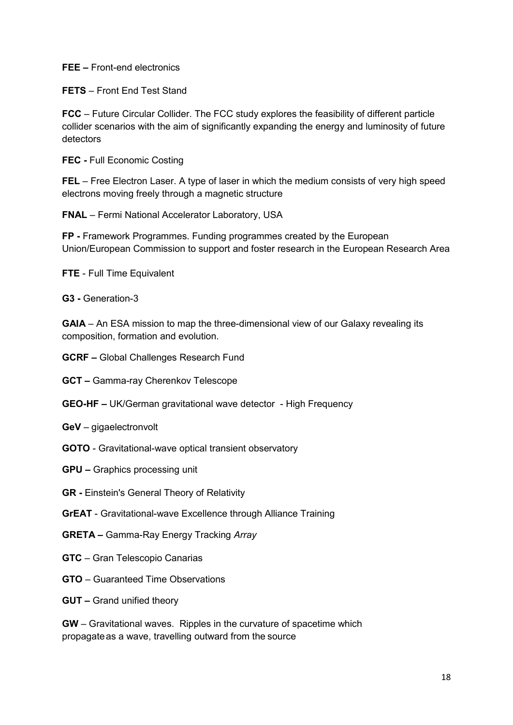**FEE –** Front-end electronics

**FETS** – Front End Test Stand

**FCC** – Future Circular Collider. The FCC study explores the feasibility of different particle collider scenarios with the aim of significantly expanding the energy and luminosity of future detectors

**FEC -** Full Economic Costing

**FEL** – Free Electron Laser. A type of laser in which the medium consists of very high speed electrons moving freely through a magnetic structure

**FNAL** – Fermi National Accelerator Laboratory, USA

**FP -** Framework Programmes. Funding programmes created by the European Union/European Commission to support and foster research in the European Research Area

**FTE** - Full Time Equivalent

**G3 -** Generation-3

**GAIA** – An ESA mission to map the three-dimensional view of our Galaxy revealing its composition, formation and evolution.

**GCRF –** Global Challenges Research Fund

**GCT –** Gamma-ray Cherenkov Telescope

- **GEO-HF –** UK/German gravitational wave detector High Frequency
- **GeV** gigaelectronvolt
- **GOTO** Gravitational-wave optical transient observatory
- **GPU –** Graphics processing unit
- **GR -** Einstein's General Theory of Relativity
- **GrEAT** Gravitational-wave Excellence through Alliance Training
- **GRETA –** Gamma-Ray Energy Tracking *Array*
- **GTC** Gran Telescopio Canarias
- **GTO** Guaranteed Time Observations
- **GUT –** Grand unified theory

**GW** – Gravitational waves. Ripples in the curvature of spacetime which propagateas a wave, travelling outward from the source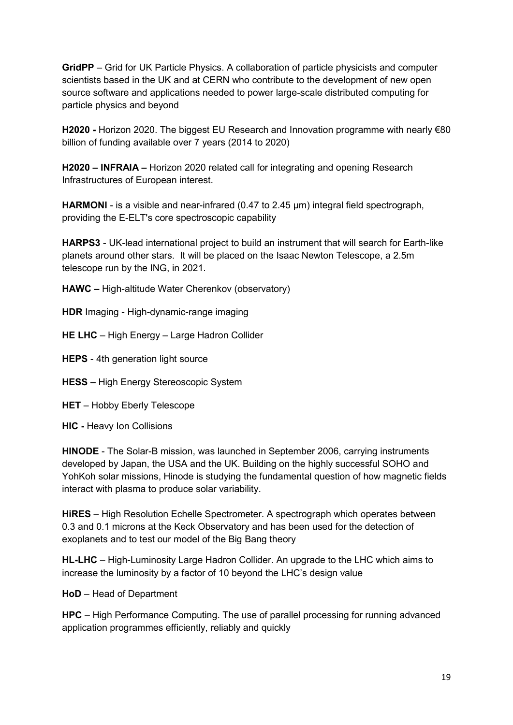**GridPP** – Grid for UK Particle Physics. A collaboration of particle physicists and computer scientists based in the UK and at CERN who contribute to the development of new open source software and applications needed to power large-scale distributed computing for particle physics and beyond

**H2020 -** Horizon 2020. The biggest EU Research and Innovation programme with nearly €80 billion of funding available over 7 years (2014 to 2020)

**H2020 – INFRAIA –** Horizon 2020 related call for integrating and opening Research Infrastructures of European interest.

**HARMONI** - is a visible and near-infrared (0.47 to 2.45 µm) integral field spectrograph, providing the E-ELT's core spectroscopic capability

**HARPS3** - UK-lead international project to build an instrument that will search for Earth-like planets around other stars. It will be placed on the Isaac Newton Telescope, a 2.5m telescope run by the ING, in 2021.

**HAWC –** High-altitude Water Cherenkov (observatory)

**HDR** Imaging - High-dynamic-range imaging

**HE LHC** – High Energy – Large Hadron Collider

**HEPS** - 4th generation light source

**HESS –** High Energy Stereoscopic System

**HET** – Hobby Eberly Telescope

**HIC -** Heavy Ion Collisions

**HINODE** - The Solar-B mission, was launched in September 2006, carrying instruments developed by Japan, the USA and the UK. Building on the highly successful SOHO and YohKoh solar missions, Hinode is studying the fundamental question of how magnetic fields interact with plasma to produce solar variability.

**HiRES** – High Resolution Echelle Spectrometer. A spectrograph which operates between 0.3 and 0.1 microns at the Keck Observatory and has been used for the detection of exoplanets and to test our model of the Big Bang theory

**HL-LHC** – High-Luminosity Large Hadron Collider. An upgrade to the LHC which aims to increase the luminosity by a factor of 10 beyond the LHC's design value

**HoD** – Head of Department

**HPC** – High Performance Computing. The use of parallel processing for running advanced application programmes efficiently, reliably and quickly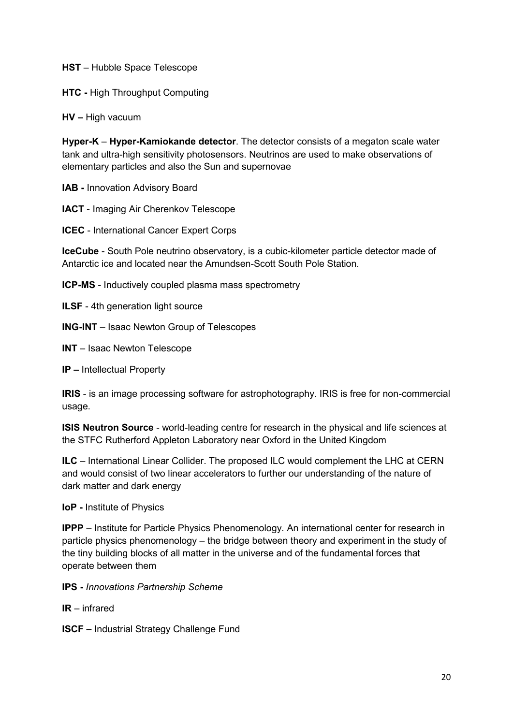**HST** – Hubble Space Telescope

**HTC -** High Throughput Computing

**HV –** High vacuum

**Hyper-K** – **Hyper-Kamiokande detector**. The detector consists of a megaton scale water tank and ultra-high sensitivity photosensors. Neutrinos are used to make observations of elementary particles and also the Sun and supernovae

**IAB -** Innovation Advisory Board

**IACT** - Imaging Air Cherenkov Telescope

**ICEC** - International Cancer Expert Corps

**IceCube** - South Pole neutrino observatory, is a cubic-kilometer particle detector made of Antarctic ice and located near the Amundsen-Scott South Pole Station.

**ICP-MS** - Inductively coupled plasma mass spectrometry

**ILSF** - 4th generation light source

**ING-INT** – Isaac Newton Group of Telescopes

**INT** – Isaac Newton Telescope

**IP** – Intellectual Property

**IRIS** - is an image processing software for astrophotography. IRIS is free for non-commercial usage.

**ISIS Neutron Source** - world-leading centre for research in the physical and life sciences at the STFC Rutherford Appleton Laboratory near Oxford in the United Kingdom

**ILC** – International Linear Collider. The proposed ILC would complement the LHC at CERN and would consist of two linear accelerators to further our understanding of the nature of dark matter and dark energy

**IoP -** Institute of Physics

**IPPP** – Institute for Particle Physics Phenomenology. An international center for research in particle physics phenomenology – the bridge between theory and experiment in the study of the tiny building blocks of all matter in the universe and of the fundamental forces that operate between them

**IPS -** *Innovations Partnership Scheme*

**IR** – infrared

**ISCF –** Industrial Strategy Challenge Fund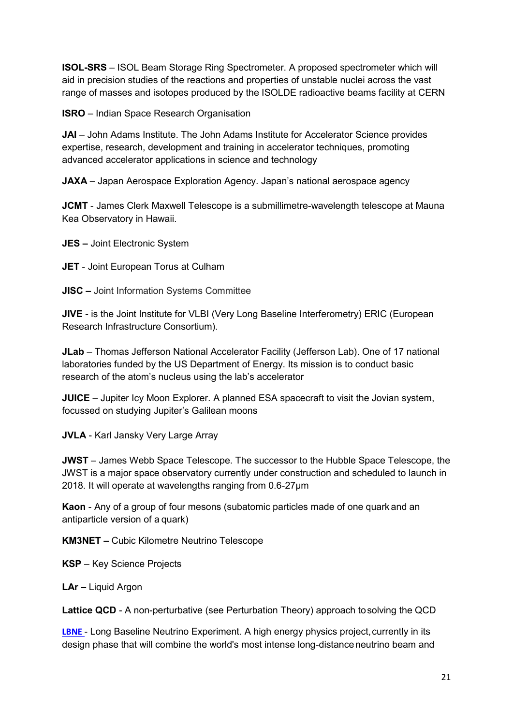**ISOL-SRS** – ISOL Beam Storage Ring Spectrometer. A proposed spectrometer which will aid in precision studies of the reactions and properties of unstable nuclei across the vast range of masses and isotopes produced by the ISOLDE radioactive beams facility at CERN

**ISRO** – Indian Space Research Organisation

**JAI** – John Adams Institute. The John Adams Institute for Accelerator Science provides expertise, research, development and training in accelerator techniques, promoting advanced accelerator applications in science and technology

**JAXA** – Japan Aerospace Exploration Agency. Japan's national aerospace agency

**JCMT** - James Clerk Maxwell Telescope is a submillimetre-wavelength telescope at Mauna Kea Observatory in Hawaii.

**JES –** Joint Electronic System

- **JET**  Joint European Torus at Culham
- **JISC –** Joint Information Systems Committee

**JIVE** - is the Joint Institute for VLBI (Very Long Baseline Interferometry) ERIC (European Research Infrastructure Consortium).

**JLab** – Thomas Jefferson National Accelerator Facility (Jefferson Lab). One of 17 national laboratories funded by the US Department of Energy. Its mission is to conduct basic research of the atom's nucleus using the lab's accelerator

**JUICE** – Jupiter Icy Moon Explorer. A planned ESA spacecraft to visit the Jovian system, focussed on studying Jupiter's Galilean moons

**JVLA** - Karl Jansky Very Large Array

**JWST** – James Webb Space Telescope. The successor to the Hubble Space Telescope, the JWST is a major space observatory currently under construction and scheduled to launch in 2018. It will operate at wavelengths ranging from 0.6-27μm

**Kaon** - Any of a group of four mesons (subatomic particles made of one quark and an antiparticle version of a quark)

**KM3NET –** Cubic Kilometre Neutrino Telescope

**KSP** – Key Science Projects

**LAr –** Liquid Argon

Lattice QCD - A non-perturbative (see Perturbation Theory) approach to solving the QCD

**[LBNE](http://lbne.fnal.gov/)** - Long Baseline Neutrino Experiment. A high energy physics project, currently in its design phase that will combine the world's most intense long-distance neutrino beam and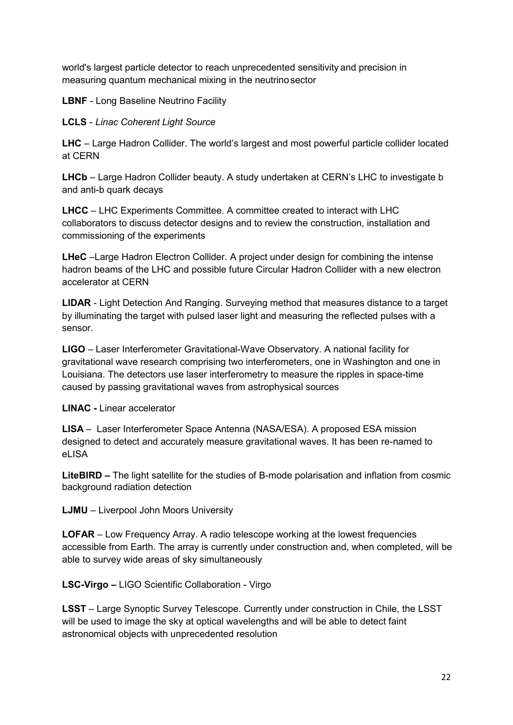world's largest particle detector to reach unprecedented sensitivity and precision in measuring quantum mechanical mixing in the neutrinosector

**LBNF** - Long Baseline Neutrino Facility

**LCLS** - *Linac Coherent Light Source*

**LHC** – Large Hadron Collider. The world's largest and most powerful particle collider located at CERN

**LHCb** – Large Hadron Collider beauty. A study undertaken at CERN's LHC to investigate b and anti-b quark decays

**LHCC** – LHC Experiments Committee. A committee created to interact with LHC collaborators to discuss detector designs and to review the construction, installation and commissioning of the experiments

**LHeC** –Large Hadron Electron Collider. A project under design for combining the intense hadron beams of the LHC and possible future Circular Hadron Collider with a new electron accelerator at CERN

**LIDAR** - Light Detection And Ranging. Surveying method that measures distance to a target by illuminating the target with pulsed laser light and measuring the reflected pulses with a sensor.

**LIGO** – Laser Interferometer Gravitational-Wave Observatory. A national facility for gravitational wave research comprising two interferometers, one in Washington and one in Louisiana. The detectors use laser interferometry to measure the ripples in space-time caused by passing gravitational waves from astrophysical sources

**LINAC -** Linear accelerator

**LISA** – Laser Interferometer Space Antenna (NASA/ESA). A proposed ESA mission designed to detect and accurately measure gravitational waves. It has been re-named to eLISA

**LiteBIRD –** The light satellite for the studies of B-mode polarisation and inflation from cosmic background radiation detection

**LJMU** – Liverpool John Moors University

**LOFAR** – Low Frequency Array. A radio telescope working at the lowest frequencies accessible from Earth. The array is currently under construction and, when completed, will be able to survey wide areas of sky simultaneously

**LSC-Virgo –** LIGO Scientific Collaboration - Virgo

**LSST** – Large Synoptic Survey Telescope. Currently under construction in Chile, the LSST will be used to image the sky at optical wavelengths and will be able to detect faint astronomical objects with unprecedented resolution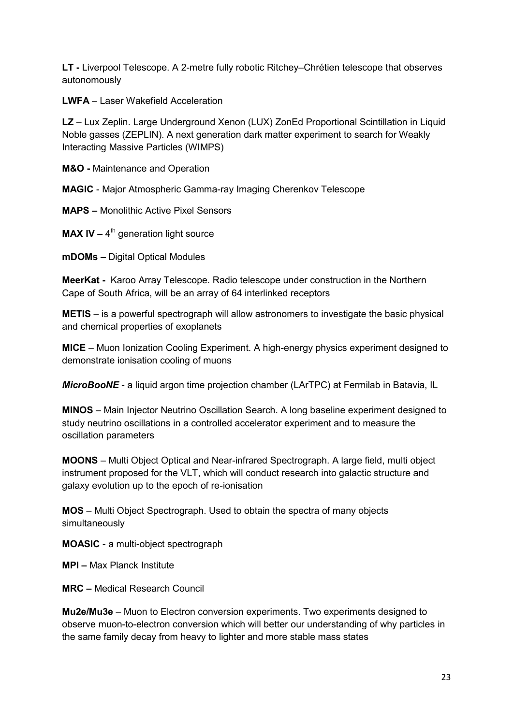**LT -** Liverpool Telescope. A 2-metre fully robotic Ritchey–Chrétien telescope that observes autonomously

**LWFA** – Laser Wakefield Acceleration

**LZ** – Lux Zeplin. Large Underground Xenon (LUX) ZonEd Proportional Scintillation in Liquid Noble gasses (ZEPLIN). A next generation dark matter experiment to search for Weakly Interacting Massive Particles (WIMPS)

**M&O -** Maintenance and Operation

**MAGIC** - Major Atmospheric Gamma-ray Imaging Cherenkov Telescope

**MAPS –** Monolithic Active Pixel Sensors

**MAX IV** – 4<sup>th</sup> generation light source

**mDOMs –** Digital Optical Modules

**MeerKat -** Karoo Array Telescope. Radio telescope under construction in the Northern Cape of South Africa, will be an array of 64 interlinked receptors

**METIS** – is a powerful spectrograph will allow astronomers to investigate the basic physical and chemical properties of exoplanets

**MICE** – Muon Ionization Cooling Experiment. A high-energy physics experiment designed to demonstrate ionisation cooling of muons

*MicroBooNE* - a liquid argon time projection chamber (LArTPC) at Fermilab in Batavia, IL

**MINOS** – Main Injector Neutrino Oscillation Search. A long baseline experiment designed to study neutrino oscillations in a controlled accelerator experiment and to measure the oscillation parameters

**MOONS** – Multi Object Optical and Near-infrared Spectrograph. A large field, multi object instrument proposed for the VLT, which will conduct research into galactic structure and galaxy evolution up to the epoch of re-ionisation

**MOS** – Multi Object Spectrograph. Used to obtain the spectra of many objects simultaneously

**MOASIC** - a multi-object spectrograph

**MPI –** Max Planck Institute

**MRC –** Medical Research Council

**Mu2e/Mu3e** – Muon to Electron conversion experiments. Two experiments designed to observe muon-to-electron conversion which will better our understanding of why particles in the same family decay from heavy to lighter and more stable mass states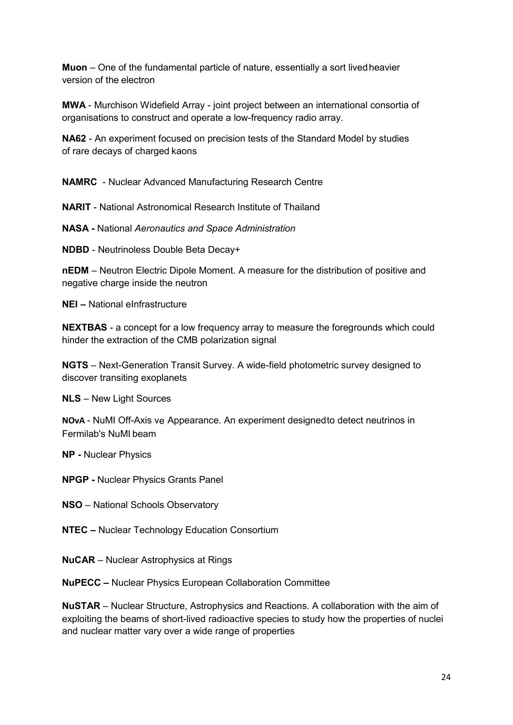**Muon** – One of the fundamental particle of nature, essentially a sort livedheavier version of the electron

**MWA** - Murchison Widefield Array - joint project between an international consortia of organisations to construct and operate a low-frequency radio array.

**NA62** - An experiment focused on precision tests of the Standard Model by studies of rare decays of charged kaons

**NAMRC** - Nuclear Advanced Manufacturing Research Centre

**NARIT** - National Astronomical Research Institute of Thailand

**NASA -** National *Aeronautics and Space Administration*

**NDBD** - Neutrinoless Double Beta Decay+

**nEDM** – Neutron Electric Dipole Moment. A measure for the distribution of positive and negative charge inside the neutron

**NEI –** National eInfrastructure

**NEXTBAS** - a concept for a low frequency array to measure the foregrounds which could hinder the extraction of the CMB polarization signal

**NGTS** – Next-Generation Transit Survey. A wide-field photometric survey designed to discover transiting exoplanets

**NLS** – New Light Sources

**NOνA** - NuMI Off-Axis νe Appearance. An experiment designedto detect neutrinos in Fermilab's NuMI beam

**NP -** Nuclear Physics

**NPGP -** Nuclear Physics Grants Panel

**NSO** – National Schools Observatory

**NTEC –** Nuclear Technology Education Consortium

**NuCAR** – Nuclear Astrophysics at Rings

**NuPECC –** Nuclear Physics European Collaboration Committee

**NuSTAR** – Nuclear Structure, Astrophysics and Reactions. A collaboration with the aim of exploiting the beams of short-lived radioactive species to study how the properties of nuclei and nuclear matter vary over a wide range of properties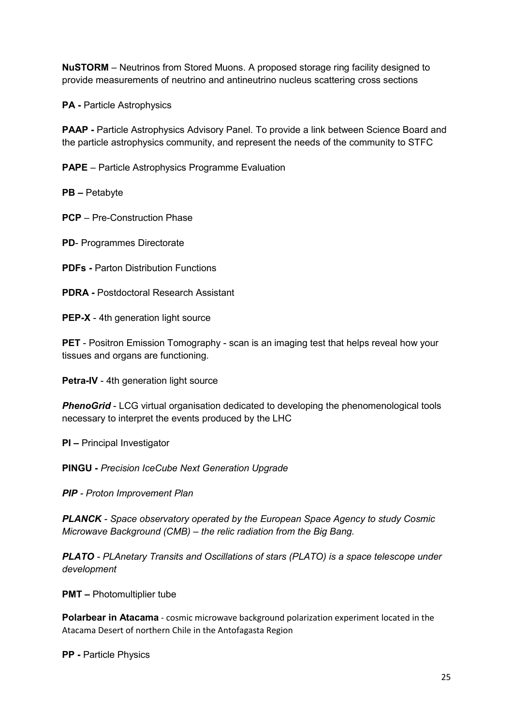**NuSTORM** – Neutrinos from Stored Muons. A proposed storage ring facility designed to provide measurements of neutrino and antineutrino nucleus scattering cross sections

**PA -** Particle Astrophysics

**PAAP -** Particle Astrophysics Advisory Panel. To provide a link between Science Board and the particle astrophysics community, and represent the needs of the community to STFC

**PAPE** – Particle Astrophysics Programme Evaluation

**PB –** Petabyte

**PCP** – Pre-Construction Phase

**PD**- Programmes Directorate

**PDFs -** Parton Distribution Functions

**PDRA -** Postdoctoral Research Assistant

**PEP-X** - 4th generation light source

**PET** - Positron Emission Tomography - scan is an imaging test that helps reveal how your tissues and organs are functioning.

**Petra-IV** - 4th generation light source

**PhenoGrid** - LCG virtual organisation dedicated to developing the phenomenological tools necessary to interpret the events produced by the LHC

**PI –** Principal Investigator

**PINGU -** *Precision IceCube Next Generation Upgrade*

*PIP - Proton Improvement Plan*

*PLANCK - Space observatory operated by the European Space Agency to study Cosmic Microwave Background (CMB) – the relic radiation from the Big Bang.*

*PLATO - PLAnetary Transits and Oscillations of stars (PLATO) is a space telescope under development*

**PMT –** Photomultiplier tube

**Polarbear in Atacama** - cosmic microwave background polarization experiment located in the Atacama Desert of northern Chile in the Antofagasta Region

**PP -** Particle Physics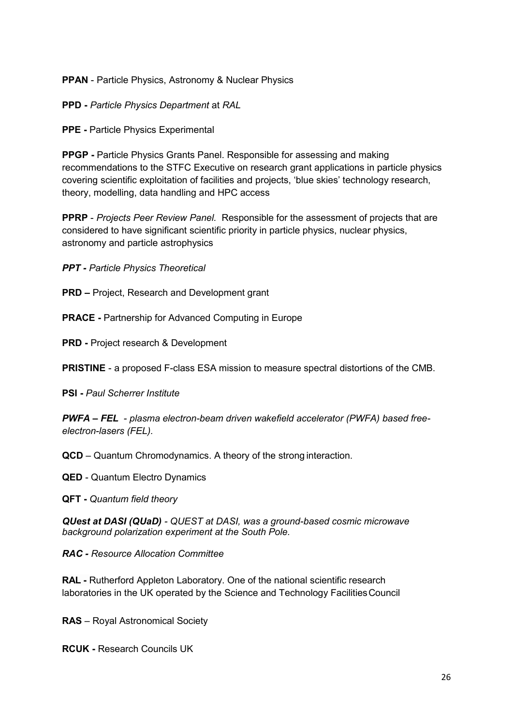**PPAN** - Particle Physics, Astronomy & Nuclear Physics

**PPD -** *Particle Physics Department* at *RAL*

**PPE -** Particle Physics Experimental

**PPGP -** Particle Physics Grants Panel. Responsible for assessing and making recommendations to the STFC Executive on research grant applications in particle physics covering scientific exploitation of facilities and projects, 'blue skies' technology research, theory, modelling, data handling and HPC access

**PPRP** - *Projects Peer Review Panel.* Responsible for the assessment of projects that are considered to have significant scientific priority in particle physics, nuclear physics, astronomy and particle astrophysics

*PPT - Particle Physics Theoretical* 

**PRD –** Project, Research and Development grant

**PRACE -** Partnership for Advanced Computing in Europe

**PRD -** Project research & Development

**PRISTINE** - a proposed F-class ESA mission to measure spectral distortions of the CMB.

**PSI -** *Paul Scherrer Institute*

*PWFA – FEL - plasma electron-beam driven wakefield accelerator (PWFA) based freeelectron-lasers (FEL).*

**QCD** – Quantum Chromodynamics. A theory of the strong interaction.

**QED** - Quantum Electro Dynamics

**QFT -** *Quantum field theory*

*QUest at DASI (QUaD) - QUEST at DASI, was a ground-based cosmic microwave background polarization experiment at the South Pole.*

*RAC - Resource Allocation Committee*

**RAL -** Rutherford Appleton Laboratory. One of the national scientific research laboratories in the UK operated by the Science and Technology FacilitiesCouncil

**RAS** – Royal Astronomical Society

**RCUK -** Research Councils UK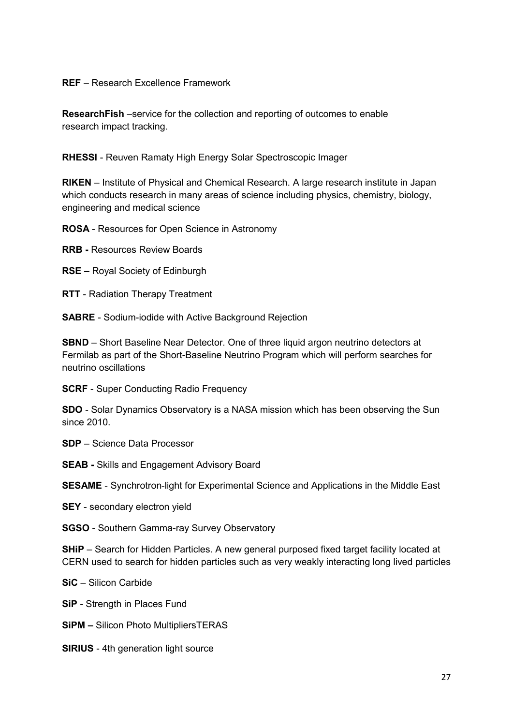## **REF** – Research Excellence Framework

**ResearchFish** –service for the collection and reporting of outcomes to enable research impact tracking.

**RHESSI** - Reuven Ramaty High Energy Solar Spectroscopic Imager

**RIKEN** – Institute of Physical and Chemical Research. A large research institute in Japan which conducts research in many areas of science including physics, chemistry, biology, engineering and medical science

**ROSA** - Resources for Open Science in Astronomy

**RRB -** Resources Review Boards

**RSE –** Royal Society of Edinburgh

**RTT** - Radiation Therapy Treatment

**SABRE** - Sodium-iodide with Active Background Rejection

**SBND** – Short Baseline Near Detector. One of three liquid argon neutrino detectors at Fermilab as part of the Short-Baseline Neutrino Program which will perform searches for neutrino oscillations

**SCRF** - Super Conducting Radio Frequency

**SDO** - Solar Dynamics Observatory is a NASA mission which has been observing the Sun since 2010.

**SDP** – Science Data Processor

**SEAB -** Skills and Engagement Advisory Board

**SESAME** - Synchrotron-light for Experimental Science and Applications in the Middle East

**SEY** - secondary electron yield

**SGSO** - Southern Gamma-ray Survey Observatory

**SHiP** – Search for Hidden Particles. A new general purposed fixed target facility located at CERN used to search for hidden particles such as very weakly interacting long lived particles

**SiC** – Silicon Carbide

**SiP** - Strength in Places Fund

**SiPM –** Silicon Photo MultipliersTERAS

**SIRIUS** - 4th generation light source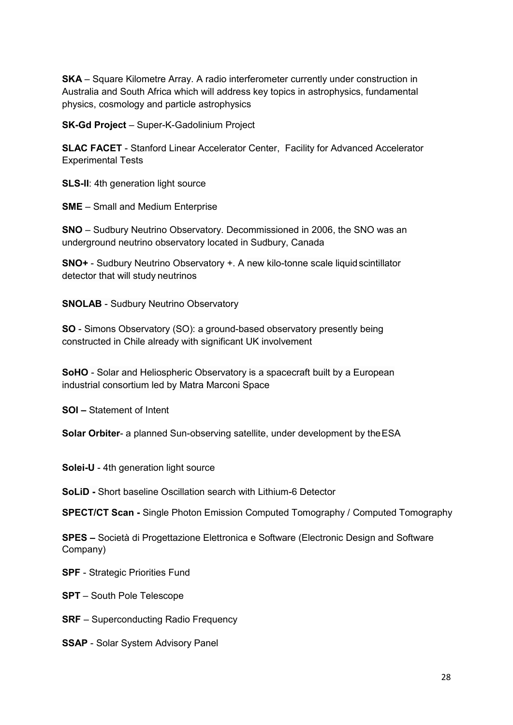**SKA** – Square Kilometre Array. A radio interferometer currently under construction in Australia and South Africa which will address key topics in astrophysics, fundamental physics, cosmology and particle astrophysics

**SK-Gd Project** – Super-K-Gadolinium Project

**SLAC FACET** - Stanford Linear Accelerator Center, Facility for Advanced Accelerator Experimental Tests

**SLS-II:** 4th generation light source

**SME** – Small and Medium Enterprise

**SNO** – Sudbury Neutrino Observatory. Decommissioned in 2006, the SNO was an underground neutrino observatory located in Sudbury, Canada

**SNO+** - Sudbury Neutrino Observatory +. A new kilo-tonne scale liquid scintillator detector that will study neutrinos

**SNOLAB** - Sudbury Neutrino Observatory

**SO** - Simons Observatory (SO): a ground-based observatory presently being constructed in Chile already with significant UK involvement

**SoHO** - Solar and Heliospheric Observatory is a spacecraft built by a European industrial consortium led by Matra Marconi Space

**SOI –** Statement of Intent

**Solar Orbiter**- a planned Sun-observing satellite, under development by theESA

**Solei-U** - 4th generation light source

**SoLiD -** Short baseline Oscillation search with Lithium-6 Detector

**SPECT/CT Scan -** Single Photon Emission Computed Tomography / Computed Tomography

**SPES –** Società di Progettazione Elettronica e Software (Electronic Design and Software Company)

- **SPF** Strategic Priorities Fund
- **SPT**  South Pole Telescope
- **SRF** Superconducting Radio Frequency
- **SSAP** Solar System Advisory Panel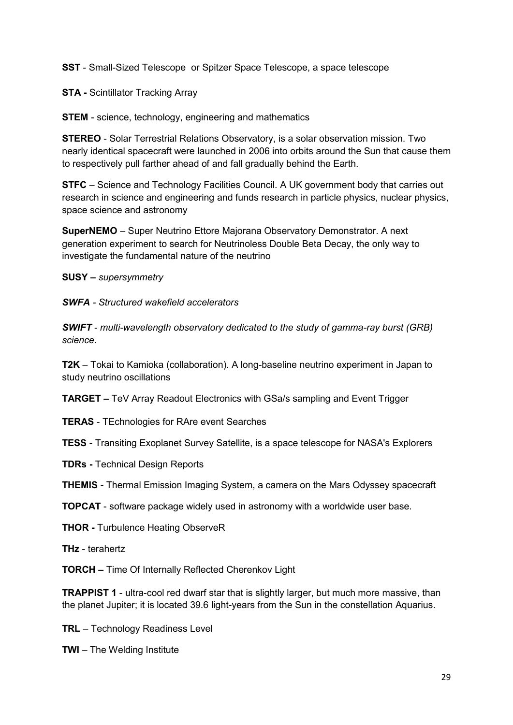**SST** - Small-Sized Telescope or Spitzer Space Telescope, a space telescope

**STA -** Scintillator Tracking Array

**STEM** - science, technology, engineering and mathematics

**STEREO** - Solar Terrestrial Relations Observatory, is a solar observation mission. Two nearly identical spacecraft were launched in 2006 into orbits around the Sun that cause them to respectively pull farther ahead of and fall gradually behind the Earth.

**STFC** – Science and Technology Facilities Council. A UK government body that carries out research in science and engineering and funds research in particle physics, nuclear physics, space science and astronomy

**SuperNEMO** – Super Neutrino Ettore Majorana Observatory Demonstrator. A next generation experiment to search for Neutrinoless Double Beta Decay, the only way to investigate the fundamental nature of the neutrino

**SUSY –** *supersymmetry*

*SWFA - Structured wakefield accelerators* 

*SWIFT - multi-wavelength observatory dedicated to the study of gamma-ray burst (GRB) science.*

**T2K** – Tokai to Kamioka (collaboration). A long-baseline neutrino experiment in Japan to study neutrino oscillations

**TARGET –** TeV Array Readout Electronics with GSa/s sampling and Event Trigger

**TERAS** - TEchnologies for RAre event Searches

**TESS** - Transiting Exoplanet Survey Satellite, is a space telescope for NASA's Explorers

**TDRs -** Technical Design Reports

**THEMIS** - Thermal Emission Imaging System, a camera on the Mars Odyssey spacecraft

**TOPCAT** - software package widely used in astronomy with a worldwide user base.

**THOR -** Turbulence Heating ObserveR

**THz** - terahertz

**TORCH –** Time Of Internally Reflected Cherenkov Light

**TRAPPIST 1** - ultra-cool red dwarf star that is slightly larger, but much more massive, than the planet Jupiter; it is located 39.6 light-years from the Sun in the constellation Aquarius.

**TRL** – Technology Readiness Level

**TWI** – The Welding Institute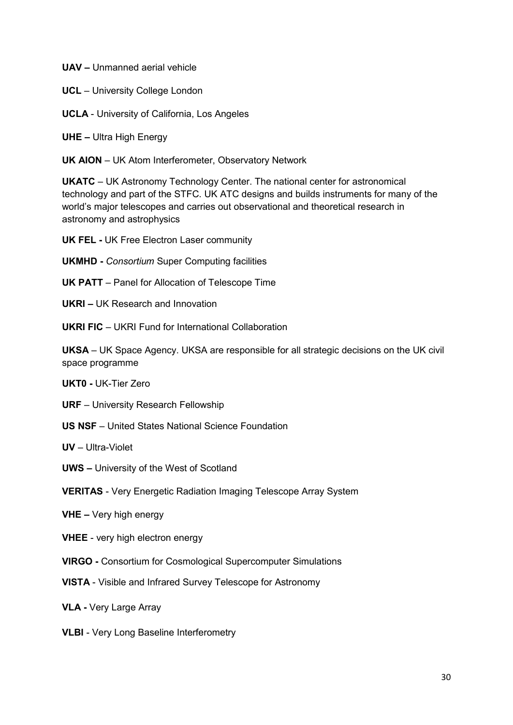**UAV –** Unmanned aerial vehicle

**UCL** – University College London

**UCLA** - University of California, Los Angeles

**UHE –** Ultra High Energy

**UK AION** – UK Atom Interferometer, Observatory Network

**UKATC** – UK Astronomy Technology Center. The national center for astronomical technology and part of the STFC. UK ATC designs and builds instruments for many of the world's major telescopes and carries out observational and theoretical research in astronomy and astrophysics

**UK FEL -** UK Free Electron Laser community

**UKMHD -** *Consortium* Super Computing facilities

**UK PATT** – Panel for Allocation of Telescope Time

**UKRI –** UK Research and Innovation

**UKRI FIC** – UKRI Fund for International Collaboration

**UKSA** – UK Space Agency. UKSA are responsible for all strategic decisions on the UK civil space programme

**UKT0 -** UK-Tier Zero

**URF** – University Research Fellowship

**US NSF** – United States National Science Foundation

**UV** – Ultra-Violet

**UWS –** University of the West of Scotland

**VERITAS** - Very Energetic Radiation Imaging Telescope Array System

**VHE –** Very high energy

**VHEE** - very high electron energy

**VIRGO -** Consortium for Cosmological Supercomputer Simulations

**VISTA** - Visible and Infrared Survey Telescope for Astronomy

**VLA -** Very Large Array

**VLBI** - Very Long Baseline Interferometry